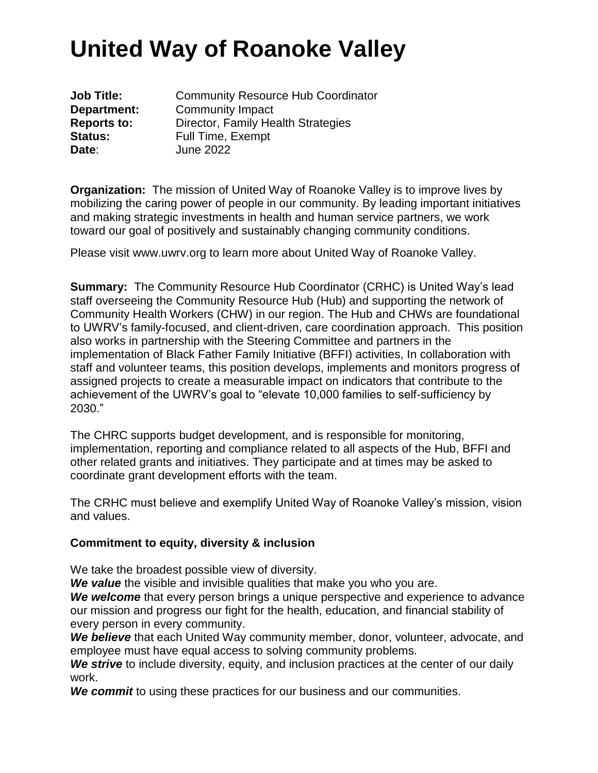**Job Title: Community Resource Hub Coordinator Department:** Community Impact **Reports to:** Director, Family Health Strategies **Status:** Full Time, Exempt **Date**: June 2022

**Organization:** The mission of United Way of Roanoke Valley is to improve lives by mobilizing the caring power of people in our community. By leading important initiatives and making strategic investments in health and human service partners, we work toward our goal of positively and sustainably changing community conditions.

Please visit www.uwrv.org to learn more about United Way of Roanoke Valley.

**Summary:** The Community Resource Hub Coordinator (CRHC) is United Way's lead staff overseeing the Community Resource Hub (Hub) and supporting the network of Community Health Workers (CHW) in our region. The Hub and CHWs are foundational to UWRV's family-focused, and client-driven, care coordination approach. This position also works in partnership with the Steering Committee and partners in the implementation of Black Father Family Initiative (BFFI) activities, In collaboration with staff and volunteer teams, this position develops, implements and monitors progress of assigned projects to create a measurable impact on indicators that contribute to the achievement of the UWRV's goal to "elevate 10,000 families to self-sufficiency by 2030."

The CHRC supports budget development, and is responsible for monitoring, implementation, reporting and compliance related to all aspects of the Hub, BFFI and other related grants and initiatives. They participate and at times may be asked to coordinate grant development efforts with the team.

The CRHC must believe and exemplify United Way of Roanoke Valley's mission, vision and values.

#### **Commitment to equity, diversity & inclusion**

We take the broadest possible view of diversity.

*We value* the visible and invisible qualities that make you who you are.

*We welcome* that every person brings a unique perspective and experience to advance our mission and progress our fight for the health, education, and financial stability of every person in every community.

*We believe* that each United Way community member, donor, volunteer, advocate, and employee must have equal access to solving community problems.

*We strive* to include diversity, equity, and inclusion practices at the center of our daily work.

*We commit* to using these practices for our business and our communities.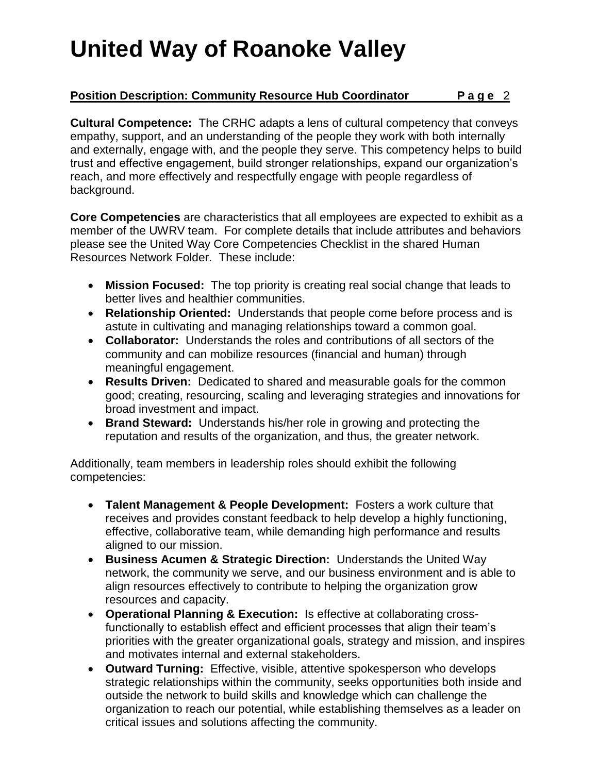### **Position Description: Community Resource Hub Coordinator P a g e** 2

**Cultural Competence:** The CRHC adapts a lens of cultural competency that conveys empathy, support, and an understanding of the people they work with both internally and externally, engage with, and the people they serve. This competency helps to build trust and effective engagement, build stronger relationships, expand our organization's reach, and more effectively and respectfully engage with people regardless of background.

**Core Competencies** are characteristics that all employees are expected to exhibit as a member of the UWRV team. For complete details that include attributes and behaviors please see the United Way Core Competencies Checklist in the shared Human Resources Network Folder. These include:

- **Mission Focused:** The top priority is creating real social change that leads to better lives and healthier communities.
- **Relationship Oriented:** Understands that people come before process and is astute in cultivating and managing relationships toward a common goal.
- **Collaborator:** Understands the roles and contributions of all sectors of the community and can mobilize resources (financial and human) through meaningful engagement.
- **Results Driven:** Dedicated to shared and measurable goals for the common good; creating, resourcing, scaling and leveraging strategies and innovations for broad investment and impact.
- **Brand Steward:** Understands his/her role in growing and protecting the reputation and results of the organization, and thus, the greater network.

Additionally, team members in leadership roles should exhibit the following competencies:

- **Talent Management & People Development:** Fosters a work culture that receives and provides constant feedback to help develop a highly functioning, effective, collaborative team, while demanding high performance and results aligned to our mission.
- **Business Acumen & Strategic Direction:** Understands the United Way network, the community we serve, and our business environment and is able to align resources effectively to contribute to helping the organization grow resources and capacity.
- **Operational Planning & Execution:** Is effective at collaborating crossfunctionally to establish effect and efficient processes that align their team's priorities with the greater organizational goals, strategy and mission, and inspires and motivates internal and external stakeholders.
- **Outward Turning:** Effective, visible, attentive spokesperson who develops strategic relationships within the community, seeks opportunities both inside and outside the network to build skills and knowledge which can challenge the organization to reach our potential, while establishing themselves as a leader on critical issues and solutions affecting the community.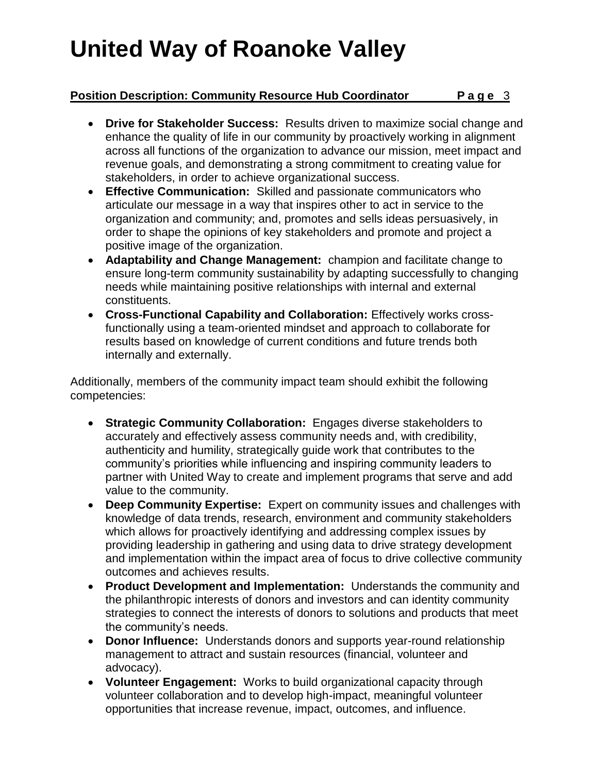## **Position Description: Community Resource Hub Coordinator Page 3**

- **Drive for Stakeholder Success:** Results driven to maximize social change and enhance the quality of life in our community by proactively working in alignment across all functions of the organization to advance our mission, meet impact and revenue goals, and demonstrating a strong commitment to creating value for stakeholders, in order to achieve organizational success.
- **Effective Communication:** Skilled and passionate communicators who articulate our message in a way that inspires other to act in service to the organization and community; and, promotes and sells ideas persuasively, in order to shape the opinions of key stakeholders and promote and project a positive image of the organization.
- **Adaptability and Change Management:** champion and facilitate change to ensure long-term community sustainability by adapting successfully to changing needs while maintaining positive relationships with internal and external constituents.
- **Cross-Functional Capability and Collaboration:** Effectively works crossfunctionally using a team-oriented mindset and approach to collaborate for results based on knowledge of current conditions and future trends both internally and externally.

Additionally, members of the community impact team should exhibit the following competencies:

- **Strategic Community Collaboration:** Engages diverse stakeholders to accurately and effectively assess community needs and, with credibility, authenticity and humility, strategically guide work that contributes to the community's priorities while influencing and inspiring community leaders to partner with United Way to create and implement programs that serve and add value to the community.
- **Deep Community Expertise:** Expert on community issues and challenges with knowledge of data trends, research, environment and community stakeholders which allows for proactively identifying and addressing complex issues by providing leadership in gathering and using data to drive strategy development and implementation within the impact area of focus to drive collective community outcomes and achieves results.
- **Product Development and Implementation:** Understands the community and the philanthropic interests of donors and investors and can identity community strategies to connect the interests of donors to solutions and products that meet the community's needs.
- **Donor Influence:** Understands donors and supports year-round relationship management to attract and sustain resources (financial, volunteer and advocacy).
- **Volunteer Engagement:** Works to build organizational capacity through volunteer collaboration and to develop high-impact, meaningful volunteer opportunities that increase revenue, impact, outcomes, and influence.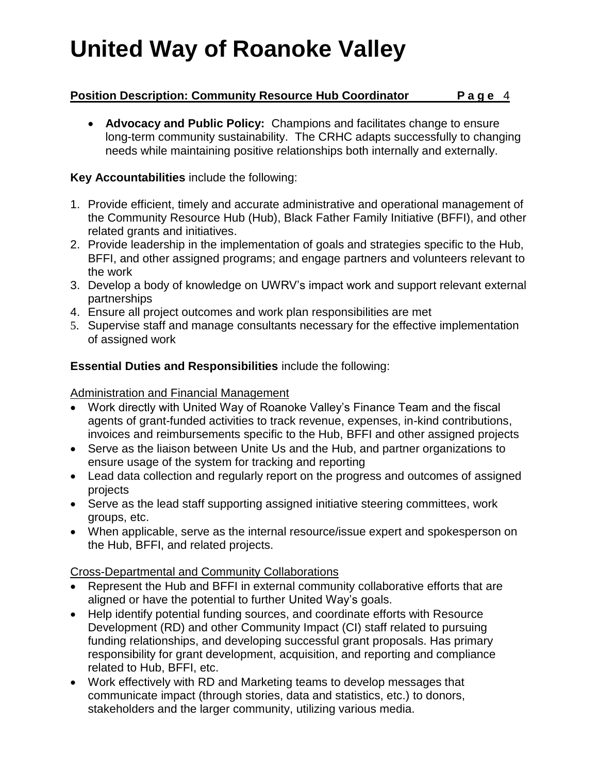## **Position Description: Community Resource Hub Coordinator Page 4**

 **Advocacy and Public Policy:** Champions and facilitates change to ensure long-term community sustainability. The CRHC adapts successfully to changing needs while maintaining positive relationships both internally and externally.

### **Key Accountabilities** include the following:

- 1. Provide efficient, timely and accurate administrative and operational management of the Community Resource Hub (Hub), Black Father Family Initiative (BFFI), and other related grants and initiatives.
- 2. Provide leadership in the implementation of goals and strategies specific to the Hub, BFFI, and other assigned programs; and engage partners and volunteers relevant to the work
- 3. Develop a body of knowledge on UWRV's impact work and support relevant external partnerships
- 4. Ensure all project outcomes and work plan responsibilities are met
- 5. Supervise staff and manage consultants necessary for the effective implementation of assigned work

## **Essential Duties and Responsibilities** include the following:

### Administration and Financial Management

- Work directly with United Way of Roanoke Valley's Finance Team and the fiscal agents of grant-funded activities to track revenue, expenses, in-kind contributions, invoices and reimbursements specific to the Hub, BFFI and other assigned projects
- Serve as the liaison between Unite Us and the Hub, and partner organizations to ensure usage of the system for tracking and reporting
- Lead data collection and regularly report on the progress and outcomes of assigned projects
- Serve as the lead staff supporting assigned initiative steering committees, work groups, etc.
- When applicable, serve as the internal resource/issue expert and spokesperson on the Hub, BFFI, and related projects.

### Cross-Departmental and Community Collaborations

- Represent the Hub and BFFI in external community collaborative efforts that are aligned or have the potential to further United Way's goals.
- Help identify potential funding sources, and coordinate efforts with Resource Development (RD) and other Community Impact (CI) staff related to pursuing funding relationships, and developing successful grant proposals. Has primary responsibility for grant development, acquisition, and reporting and compliance related to Hub, BFFI, etc.
- Work effectively with RD and Marketing teams to develop messages that communicate impact (through stories, data and statistics, etc.) to donors, stakeholders and the larger community, utilizing various media.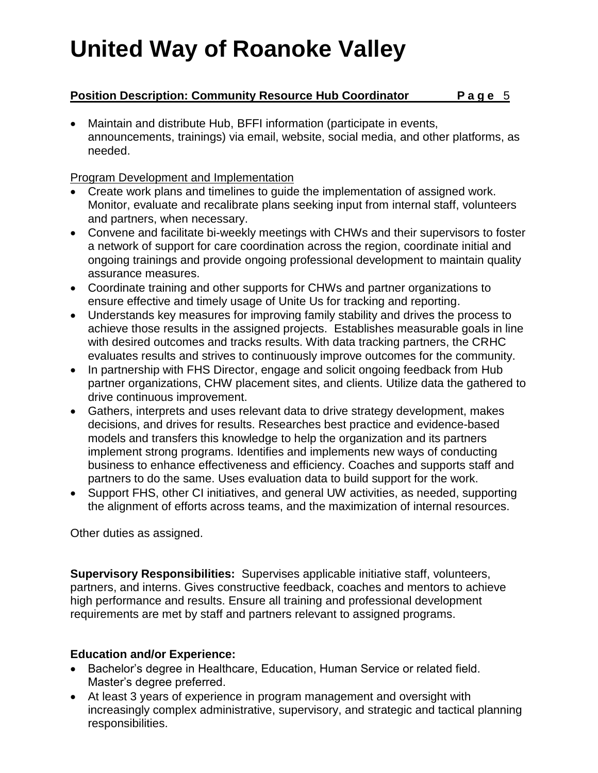## **Position Description: Community Resource Hub Coordinator Page 5**

 Maintain and distribute Hub, BFFI information (participate in events, announcements, trainings) via email, website, social media, and other platforms, as needed.

### Program Development and Implementation

- Create work plans and timelines to guide the implementation of assigned work. Monitor, evaluate and recalibrate plans seeking input from internal staff, volunteers and partners, when necessary.
- Convene and facilitate bi-weekly meetings with CHWs and their supervisors to foster a network of support for care coordination across the region, coordinate initial and ongoing trainings and provide ongoing professional development to maintain quality assurance measures.
- Coordinate training and other supports for CHWs and partner organizations to ensure effective and timely usage of Unite Us for tracking and reporting.
- Understands key measures for improving family stability and drives the process to achieve those results in the assigned projects. Establishes measurable goals in line with desired outcomes and tracks results. With data tracking partners, the CRHC evaluates results and strives to continuously improve outcomes for the community.
- In partnership with FHS Director, engage and solicit ongoing feedback from Hub partner organizations, CHW placement sites, and clients. Utilize data the gathered to drive continuous improvement.
- Gathers, interprets and uses relevant data to drive strategy development, makes decisions, and drives for results. Researches best practice and evidence-based models and transfers this knowledge to help the organization and its partners implement strong programs. Identifies and implements new ways of conducting business to enhance effectiveness and efficiency. Coaches and supports staff and partners to do the same. Uses evaluation data to build support for the work.
- Support FHS, other CI initiatives, and general UW activities, as needed, supporting the alignment of efforts across teams, and the maximization of internal resources.

Other duties as assigned.

**Supervisory Responsibilities:** Supervises applicable initiative staff, volunteers, partners, and interns. Gives constructive feedback, coaches and mentors to achieve high performance and results. Ensure all training and professional development requirements are met by staff and partners relevant to assigned programs.

### **Education and/or Experience:**

- Bachelor's degree in Healthcare, Education, Human Service or related field. Master's degree preferred.
- At least 3 years of experience in program management and oversight with increasingly complex administrative, supervisory, and strategic and tactical planning responsibilities.